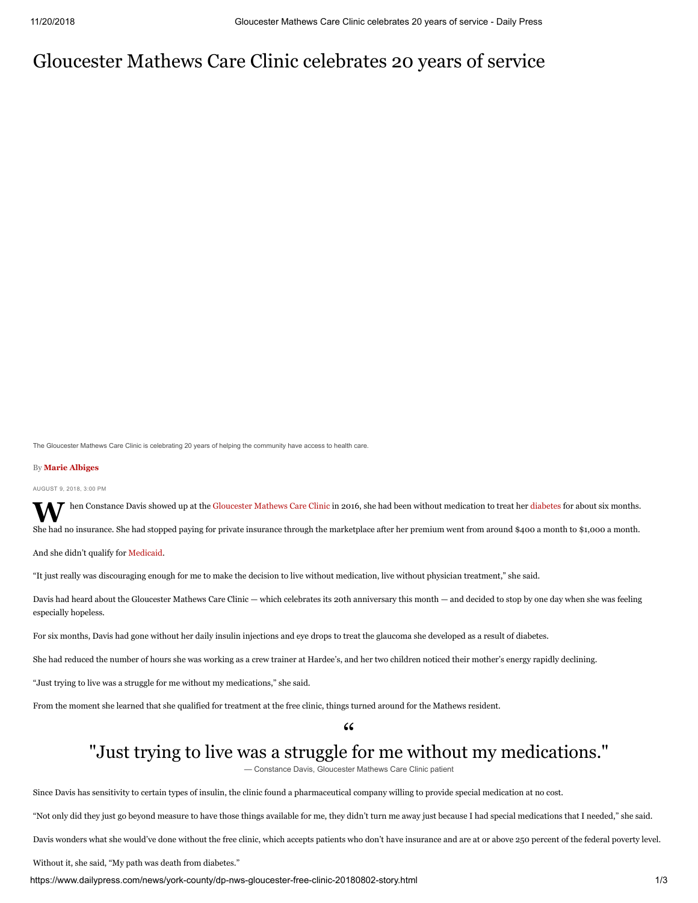# Gloucester Mathews Care Clinic celebrates 20 years of service

The Gloucester Mathews Care Clinic is celebrating 20 years of helping the community have access to health care.

## By **Marie Albiges**

AUGUST 9, 2018, 3:00 PM

**W** hen Constance Davis showed up at the [Gloucester Mathews Care Clinic](https://www.gmcareclinic.com/) in 2016, she had been without medication to treat her [diabetes](https://www.dailypress.com/topic/health/diseases-illnesses/diabetes-HEDAI0000022-topic.html) for about six months.

She had no insurance. She had stopped paying for private insurance through the marketplace after her premium went from around \$400 a month to \$1,000 a month.

And she didn't qualify for [Medicaid.](https://www.dailypress.com/topic/health/healthcare/medicaid-HEPRG00001-topic.html)

"It just really was discouraging enough for me to make the decision to live without medication, live without physician treatment," she said.

Davis had heard about the Gloucester Mathews Care Clinic — which celebrates its 20th anniversary this month — and decided to stop by one day when she was feeling especially hopeless.

For six months, Davis had gone without her daily insulin injections and eye drops to treat the glaucoma she developed as a result of diabetes.

She had reduced the number of hours she was working as a crew trainer at Hardee's, and her two children noticed their mother's energy rapidly declining.

"Just trying to live was a struggle for me without my medications," she said.

From the moment she learned that she qualified for treatment at the free clinic, things turned around for the Mathews resident.

# $\frac{1}{2}$ "Just trying to live was a struggle for me without my medications."

— Constance Davis, Gloucester Mathews Care Clinic patient

Since Davis has sensitivity to certain types of insulin, the clinic found a pharmaceutical company willing to provide special medication at no cost.

"Not only did they just go beyond measure to have those things available for me, they didn't turn me away just because I had special medications that I needed," she said.

Davis wonders what she would've done without the free clinic, which accepts patients who don't have insurance and are at or above 250 percent of the federal poverty level.

Without it, she said, "My path was death from diabetes."

https://www.dailypress.com/news/york-county/dp-nws-gloucester-free-clinic-20180802-story.html 1/3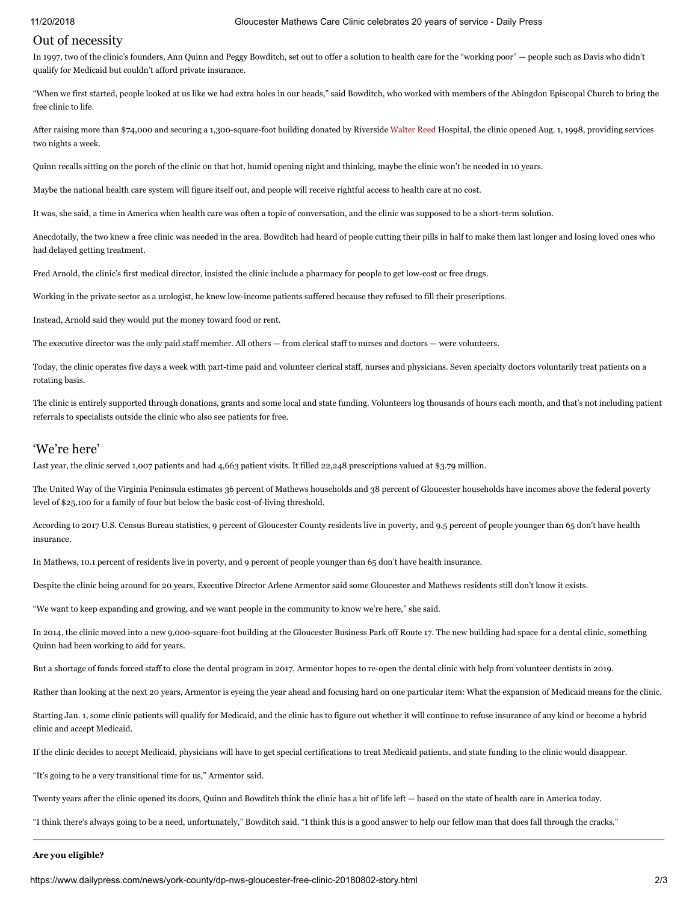# Out of necessity

In 1997, two of the clinic's founders, Ann Quinn and Peggy Bowditch, set out to offer a solution to health care for the "working poor" — people such as Davis who didn't qualify for Medicaid but couldn't afford private insurance.

"When we first started, people looked at us like we had extra holes in our heads," said Bowditch, who worked with members of the Abingdon Episcopal Church to bring the free clinic to life.

After raising more than \$74,000 and securing a 1,300-square-foot building donated by Riverside [Walter Reed](https://www.dailypress.com/topic/health/healthcare/walter-reed-national-military-medical-center-ORGHC00054-topic.html) Hospital, the clinic opened Aug. 1, 1998, providing services two nights a week.

Quinn recalls sitting on the porch of the clinic on that hot, humid opening night and thinking, maybe the clinic won't be needed in 10 years.

Maybe the national health care system will figure itself out, and people will receive rightful access to health care at no cost.

It was, she said, a time in America when health care was often a topic of conversation, and the clinic was supposed to be a short-term solution.

Anecdotally, the two knew a free clinic was needed in the area. Bowditch had heard of people cutting their pills in half to make them last longer and losing loved ones who had delayed getting treatment.

Fred Arnold, the clinic's first medical director, insisted the clinic include a pharmacy for people to get low-cost or free drugs.

Working in the private sector as a urologist, he knew low-income patients suffered because they refused to fill their prescriptions.

Instead, Arnold said they would put the money toward food or rent.

The executive director was the only paid staff member. All others — from clerical staff to nurses and doctors — were volunteers.

Today, the clinic operates five days a week with part-time paid and volunteer clerical staff, nurses and physicians. Seven specialty doctors voluntarily treat patients on a rotating basis.

The clinic is entirely supported through donations, grants and some local and state funding. Volunteers log thousands of hours each month, and that's not including patient referrals to specialists outside the clinic who also see patients for free.

# 'We're here'

Last year, the clinic served 1,007 patients and had 4,663 patient visits. It filled 22,248 prescriptions valued at \$3.79 million.

The United Way of the Virginia Peninsula estimates 36 percent of Mathews households and 38 percent of Gloucester households have incomes above the federal poverty level of \$25,100 for a family of four but below the basic cost-of-living threshold.

According to 2017 U.S. Census Bureau statistics, 9 percent of Gloucester County residents live in poverty, and 9.5 percent of people younger than 65 don't have health insurance.

In Mathews, 10.1 percent of residents live in poverty, and 9 percent of people younger than 65 don't have health insurance.

Despite the clinic being around for 20 years, Executive Director Arlene Armentor said some Gloucester and Mathews residents still don't know it exists.

"We want to keep expanding and growing, and we want people in the community to know we're here," she said.

In 2014, the clinic moved into a new 9,000-square-foot building at the Gloucester Business Park off Route 17. The new building had space for a dental clinic, something Quinn had been working to add for years.

But a shortage of funds forced staff to close the dental program in 2017. Armentor hopes to re-open the dental clinic with help from volunteer dentists in 2019.

Rather than looking at the next 20 years, Armentor is eyeing the year ahead and focusing hard on one particular item: What the expansion of Medicaid means for the clinic.

Starting Jan. 1, some clinic patients will qualify for Medicaid, and the clinic has to figure out whether it will continue to refuse insurance of any kind or become a hybrid clinic and accept Medicaid.

If the clinic decides to accept Medicaid, physicians will have to get special certifications to treat Medicaid patients, and state funding to the clinic would disappear.

"It's going to be a very transitional time for us," Armentor said.

Twenty years after the clinic opened its doors, Quinn and Bowditch think the clinic has a bit of life left — based on the state of health care in America today.

"I think there's always going to be a need, unfortunately," Bowditch said. "I think this is a good answer to help our fellow man that does fall through the cracks."

## **Are you eligible?**

https://www.dailypress.com/news/york-county/dp-nws-gloucester-free-clinic-20180802-story.html 2/3